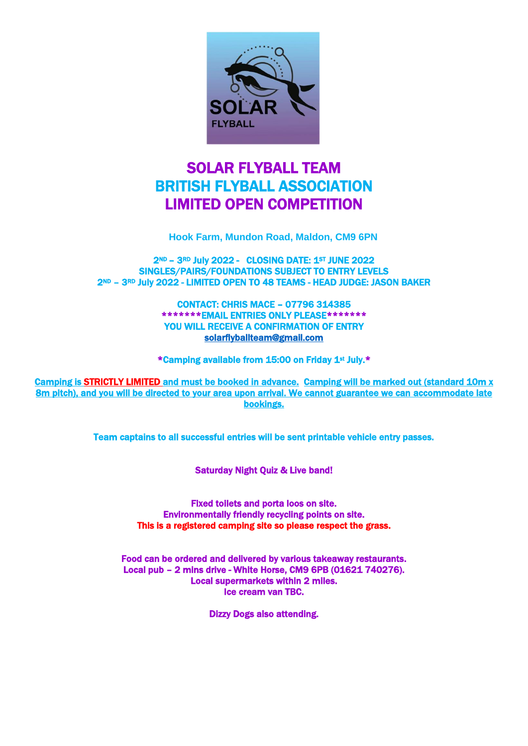

# SOLAR FLYBALL TEAM BRITISH FLYBALL ASSOCIATION LIMITED OPEN COMPETITION

**Hook Farm, Mundon Road, Maldon, CM9 6PN**

2ND – 3RD July 2022 - CLOSING DATE: 1ST JUNE 2022 SINGLES/PAIRS/FOUNDATIONS SUBJECT TO ENTRY LEVELS 2ND – 3RD July 2022 - LIMITED OPEN TO 48 TEAMS - HEAD JUDGE: JASON BAKER

> CONTACT: CHRIS MACE – 07796 314385 \*\*\*\*\*\*\*EMAIL ENTRIES ONLY PLEASE\*\*\*\*\*\*\* YOU WILL RECEIVE A CONFIRMATION OF ENTRY [solarflyballteam@gmail.com](mailto:solarflyballteam@gmail.com)

\*Camping available from 15:00 on Friday 1st July.\*

Camping is STRICTLY LIMITED and must be booked in advance. Camping will be marked out (standard 10m x 8m pitch), and you will be directed to your area upon arrival. We cannot guarantee we can accommodate late bookings.

Team captains to all successful entries will be sent printable vehicle entry passes.

Saturday Night Quiz & Live band!

Fixed toilets and porta loos on site. Environmentally friendly recycling points on site. This is a registered camping site so please respect the grass.

Food can be ordered and delivered by various takeaway restaurants. Local pub – 2 mins drive - White Horse, CM9 6PB (01621 740276). Local supermarkets within 2 miles. Ice cream van TBC.

Dizzy Dogs also attending.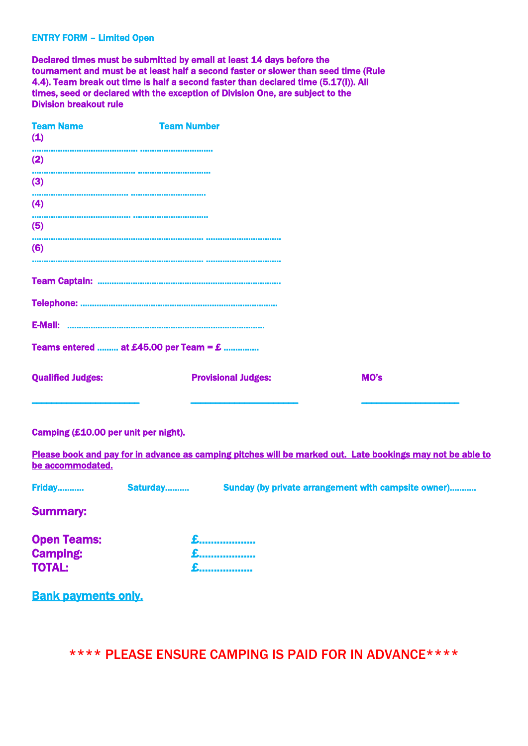#### ENTRY FORM – Limited Open

Declared times must be submitted by email at least 14 days before the tournament and must be at least half a second faster or slower than seed time (Rule 4.4). Team break out time is half a second faster than declared time (5.17(I)). All times, seed or declared with the exception of Division One, are subject to the Division breakout rule

| <b>Team Name</b><br>(1)  | <b>Team Number</b>                            |      |  |
|--------------------------|-----------------------------------------------|------|--|
| (2)                      |                                               |      |  |
| (3)                      |                                               |      |  |
| (4)                      |                                               |      |  |
| (5)                      |                                               |      |  |
| (6)                      |                                               |      |  |
|                          |                                               |      |  |
|                          |                                               |      |  |
| <b>E-Mail:</b>           |                                               |      |  |
|                          | Teams entered  at £45.00 per Team = $\pounds$ |      |  |
| <b>Qualified Judges:</b> | <b>Provisional Judges:</b>                    | MO's |  |
|                          |                                               |      |  |

## Camping (£10.00 per unit per night).

Please book and pay for in advance as camping pitches will be marked out. Late bookings may not be able to be accommodated.

| Friday<br>Sunday (by private arrangement with campsite owner)<br>Saturday |
|---------------------------------------------------------------------------|
|---------------------------------------------------------------------------|

Summary:

| <b>Open Teams:</b> |     |
|--------------------|-----|
| <b>Camping:</b>    |     |
| <b>TOTAL:</b>      | $E$ |

Bank payments only.

\*\*\*\* PLEASE ENSURE CAMPING IS PAID FOR IN ADVANCE\*\*\*\*